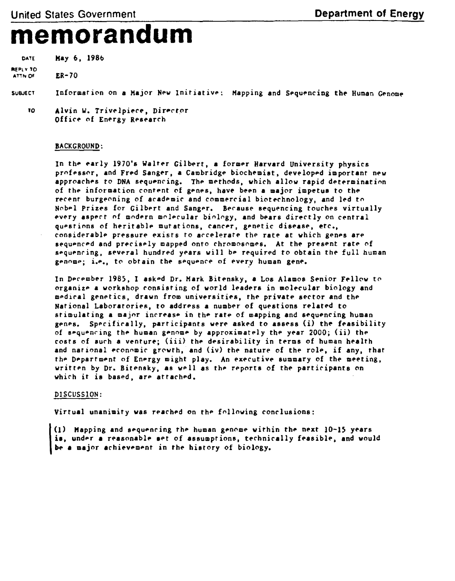## **memorandum**

DATE May 6, 1986

REPLY TO ATTN OF ER-70

SUBJECT Information on a Major New Initiative; Mapping and Sequencing the Human Genome

to Alvin W. Trivelpiece, Director Office of Energy Research

## BACKGROUND:

In the early 1970's Walter Gilbert, a former Harvard University physics professor, and Fred Sanger, a Cambridge biochemist, developed important new approaches to DNA sequencing. The methods, which allow rapid determination of the information content of genes, have been a major impetus to the recent burgeoning of academic and commercial biotechnology, and led to Nobel prizes for Gilbert and Sanger. Because sequencing touches virtually every aspect of modern molecular biology, and bears directly on central questions of heritable mutations, cancer, genetic disease, etc., considerable pressure exists to accelerate the rate at which genes are sequenced and precisely mapped onto chromosomes. At the present rate of sequencing, several hundred years will be required to obtain the full human genomej i.e., to obtain the sequence of every human gene.

In December 1985, I asked Dr. Mark Bitensky, a Los Alamos Senior Fellow to organize a workshop consisting of world leaders in molecular biology and medical genetics, drawn from universities, the private sector and the National Laboratories, to address a number of questions related to stimulating a major increase in the rate of mapping and sequencing human genes. Specifically, participants were asked to assess (i) the feasibility of sequencing the human genome by approximately the year 2000; (ii) the costs of such a venture; (iii) the desirability in terms of human health and national economic growth, and (iv) the nature of the role, if any, that the Department of Energy might play. An executive summary of the meeting, written by Dr. Bitensky, as well as the reports of the participants on which it is based, are attached.

## DISCUSSION:

Virtual unanimity was reached on the following conclusions:

1) Mapping and sequencing the human genome within the next 10-15 years is, under a reasonable set of assumptions, technically feasible, and would be a major achievement in the history of biology.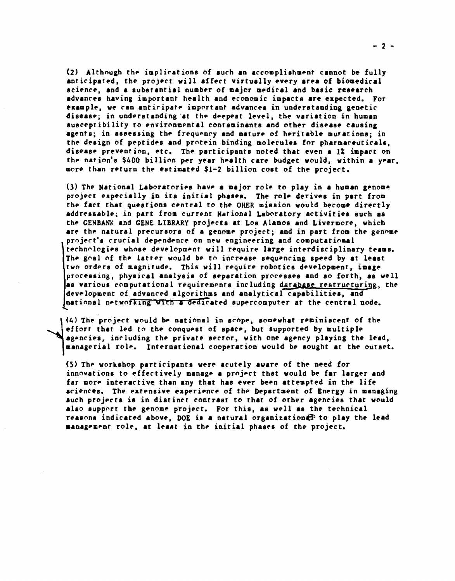(2) Although the implications of such an accomplishment cannot be fully anticipated, the project will affect virtually every area of biomedical science, and a substantial number of major medical and basic research advances having important health and economic impacts are expected. For example, we can anticipate important advances in understanding genetic disease; in understanding at the deepest level, the variation in human susceptibility to environmental contaminants and other disease causing agents; in assessing the frequency and nature of heritable mutations; in the design of peptides and protein binding molecules for pharmaceuticals, disease prevention, etc. The participants noted that even a 1% impact on the nation's \$400 billion per year health care budget would, within a year, more than return the estimated \$1-2 billion cost of the project.

(3) The National Laboratories have a major role to play in a human genome project especially in its initial phases. The role derives in part from the fact that questions central to the OHER mission would become directly addressable; in part from current National Laboratory activities such as the GENBANK and GENE LIBRARY projects at Los Alamos and Livermore, which are the natural precursors of a genome project; and in part from the genome project's crucial dependence on new engineering and computational technologies whose development will require large interdisciplinary teams. The goal of the latter would be to increase sequencing speed by at least two orders of magnitude. This will require robotics development, image processing, physical analysis of separation processes and so forth, as well as various computational requirements including database restructuring , the development of advanced algorithms and analytical capabilities, and national networking with a dedicated supercomputer at the central node.

(4) The project would be national in scope, somewhat reminiscent of the effort that led to the conquest of space, but supported by multiple agencies, including the private sector, with one agency playing the lead, managerial role, international cooperation would be sought at the outset.

(5) The workshop participants were acutely aware of the need for innovations to effectively manage a project that would be far larger and far more interactive than any that has ever been attempted in the life sciences. The extensive experience of the Department of Energy in managing such projects is in distinct contrast to that of other agencies that would also support the genome project. For this, as well as the technical reasons indicated above, DOE is a natural organization  $P$  to play the lead management role, at least in the initial phases of the project.

 $-2 -$